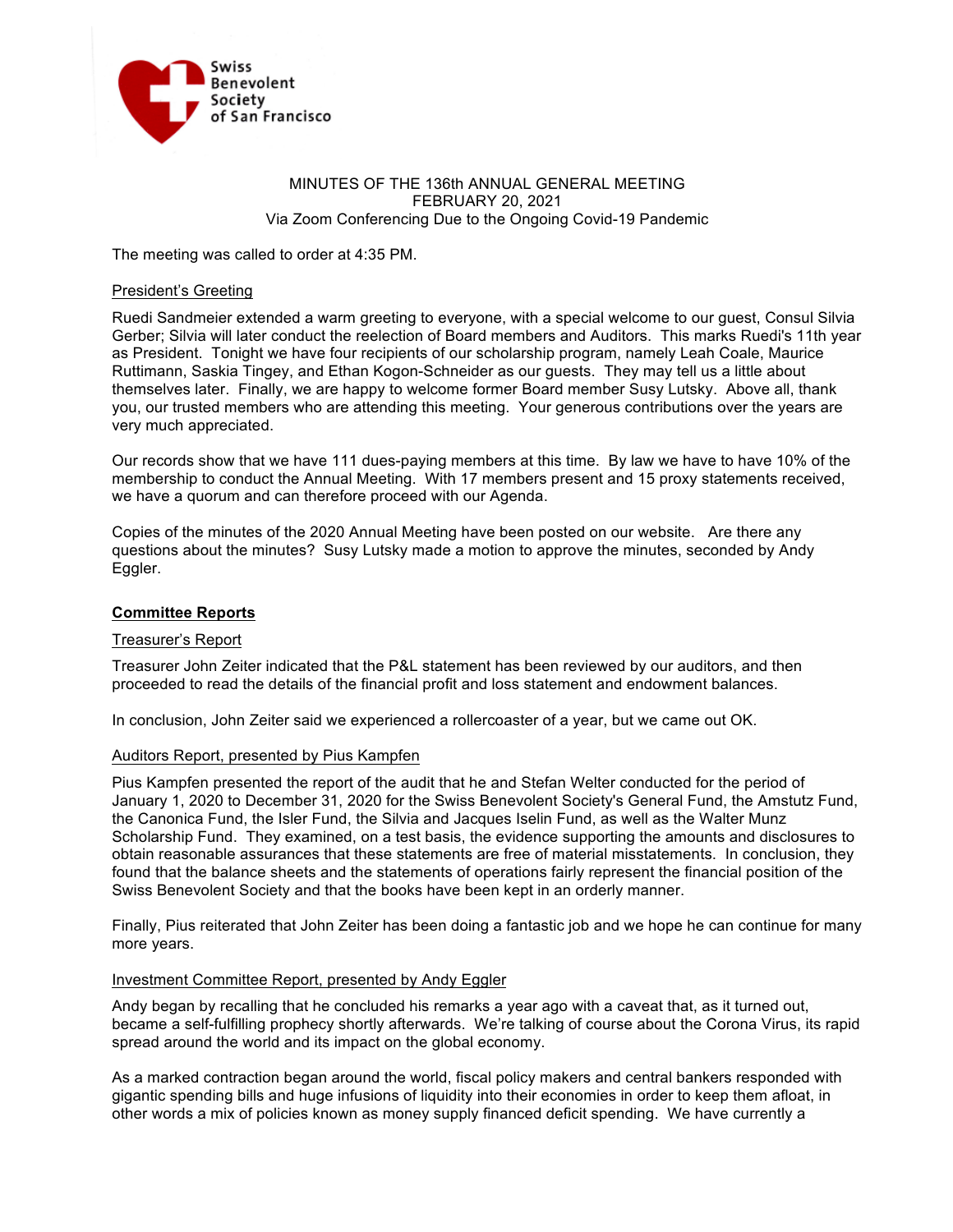

## MINUTES OF THE 136th ANNUAL GENERAL MEETING FEBRUARY 20, 2021 Via Zoom Conferencing Due to the Ongoing Covid-19 Pandemic

The meeting was called to order at 4:35 PM.

## President's Greeting

Ruedi Sandmeier extended a warm greeting to everyone, with a special welcome to our guest, Consul Silvia Gerber; Silvia will later conduct the reelection of Board members and Auditors. This marks Ruedi's 11th year as President. Tonight we have four recipients of our scholarship program, namely Leah Coale, Maurice Ruttimann, Saskia Tingey, and Ethan Kogon-Schneider as our guests. They may tell us a little about themselves later. Finally, we are happy to welcome former Board member Susy Lutsky. Above all, thank you, our trusted members who are attending this meeting. Your generous contributions over the years are very much appreciated.

Our records show that we have 111 dues-paying members at this time. By law we have to have 10% of the membership to conduct the Annual Meeting. With 17 members present and 15 proxy statements received, we have a quorum and can therefore proceed with our Agenda.

Copies of the minutes of the 2020 Annual Meeting have been posted on our website. Are there any questions about the minutes? Susy Lutsky made a motion to approve the minutes, seconded by Andy Eggler.

## **Committee Reports**

## Treasurer's Report

Treasurer John Zeiter indicated that the P&L statement has been reviewed by our auditors, and then proceeded to read the details of the financial profit and loss statement and endowment balances.

In conclusion, John Zeiter said we experienced a rollercoaster of a year, but we came out OK.

#### Auditors Report, presented by Pius Kampfen

Pius Kampfen presented the report of the audit that he and Stefan Welter conducted for the period of January 1, 2020 to December 31, 2020 for the Swiss Benevolent Society's General Fund, the Amstutz Fund, the Canonica Fund, the Isler Fund, the Silvia and Jacques Iselin Fund, as well as the Walter Munz Scholarship Fund. They examined, on a test basis, the evidence supporting the amounts and disclosures to obtain reasonable assurances that these statements are free of material misstatements. In conclusion, they found that the balance sheets and the statements of operations fairly represent the financial position of the Swiss Benevolent Society and that the books have been kept in an orderly manner.

Finally, Pius reiterated that John Zeiter has been doing a fantastic job and we hope he can continue for many more years.

#### Investment Committee Report, presented by Andy Eggler

Andy began by recalling that he concluded his remarks a year ago with a caveat that, as it turned out, became a self-fulfilling prophecy shortly afterwards. We're talking of course about the Corona Virus, its rapid spread around the world and its impact on the global economy.

As a marked contraction began around the world, fiscal policy makers and central bankers responded with gigantic spending bills and huge infusions of liquidity into their economies in order to keep them afloat, in other words a mix of policies known as money supply financed deficit spending. We have currently a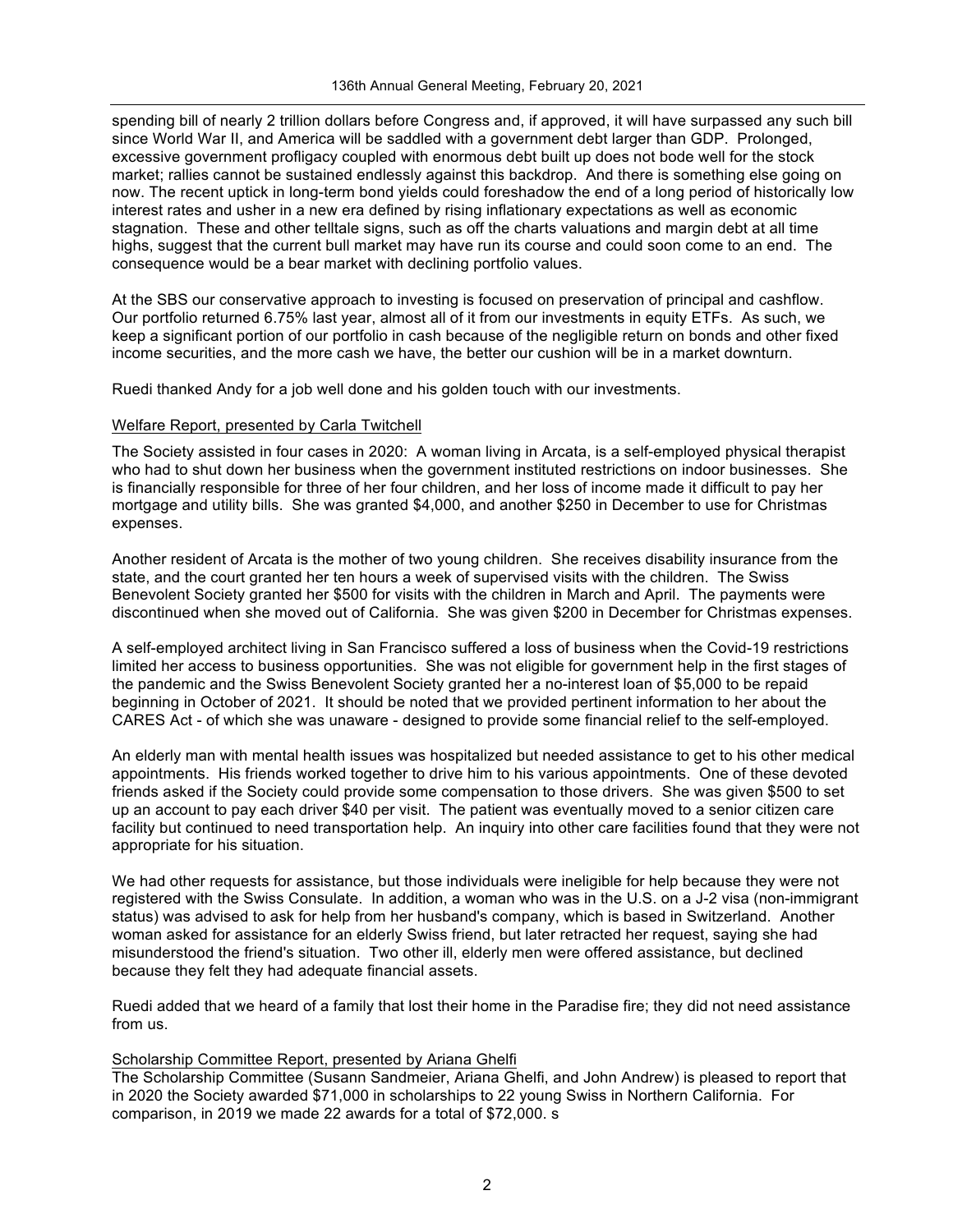spending bill of nearly 2 trillion dollars before Congress and, if approved, it will have surpassed any such bill since World War II, and America will be saddled with a government debt larger than GDP. Prolonged, excessive government profligacy coupled with enormous debt built up does not bode well for the stock market; rallies cannot be sustained endlessly against this backdrop. And there is something else going on now. The recent uptick in long-term bond yields could foreshadow the end of a long period of historically low interest rates and usher in a new era defined by rising inflationary expectations as well as economic stagnation. These and other telltale signs, such as off the charts valuations and margin debt at all time highs, suggest that the current bull market may have run its course and could soon come to an end. The consequence would be a bear market with declining portfolio values.

At the SBS our conservative approach to investing is focused on preservation of principal and cashflow. Our portfolio returned 6.75% last year, almost all of it from our investments in equity ETFs. As such, we keep a significant portion of our portfolio in cash because of the negligible return on bonds and other fixed income securities, and the more cash we have, the better our cushion will be in a market downturn.

Ruedi thanked Andy for a job well done and his golden touch with our investments.

## Welfare Report, presented by Carla Twitchell

The Society assisted in four cases in 2020: A woman living in Arcata, is a self-employed physical therapist who had to shut down her business when the government instituted restrictions on indoor businesses. She is financially responsible for three of her four children, and her loss of income made it difficult to pay her mortgage and utility bills. She was granted \$4,000, and another \$250 in December to use for Christmas expenses.

Another resident of Arcata is the mother of two young children. She receives disability insurance from the state, and the court granted her ten hours a week of supervised visits with the children. The Swiss Benevolent Society granted her \$500 for visits with the children in March and April. The payments were discontinued when she moved out of California. She was given \$200 in December for Christmas expenses.

A self-employed architect living in San Francisco suffered a loss of business when the Covid-19 restrictions limited her access to business opportunities. She was not eligible for government help in the first stages of the pandemic and the Swiss Benevolent Society granted her a no-interest loan of \$5,000 to be repaid beginning in October of 2021. It should be noted that we provided pertinent information to her about the CARES Act - of which she was unaware - designed to provide some financial relief to the self-employed.

An elderly man with mental health issues was hospitalized but needed assistance to get to his other medical appointments. His friends worked together to drive him to his various appointments. One of these devoted friends asked if the Society could provide some compensation to those drivers. She was given \$500 to set up an account to pay each driver \$40 per visit. The patient was eventually moved to a senior citizen care facility but continued to need transportation help. An inquiry into other care facilities found that they were not appropriate for his situation.

We had other requests for assistance, but those individuals were ineligible for help because they were not registered with the Swiss Consulate. In addition, a woman who was in the U.S. on a J-2 visa (non-immigrant status) was advised to ask for help from her husband's company, which is based in Switzerland. Another woman asked for assistance for an elderly Swiss friend, but later retracted her request, saying she had misunderstood the friend's situation. Two other ill, elderly men were offered assistance, but declined because they felt they had adequate financial assets.

Ruedi added that we heard of a family that lost their home in the Paradise fire; they did not need assistance from us.

# Scholarship Committee Report, presented by Ariana Ghelfi

The Scholarship Committee (Susann Sandmeier, Ariana Ghelfi, and John Andrew) is pleased to report that in 2020 the Society awarded \$71,000 in scholarships to 22 young Swiss in Northern California. For comparison, in 2019 we made 22 awards for a total of \$72,000. s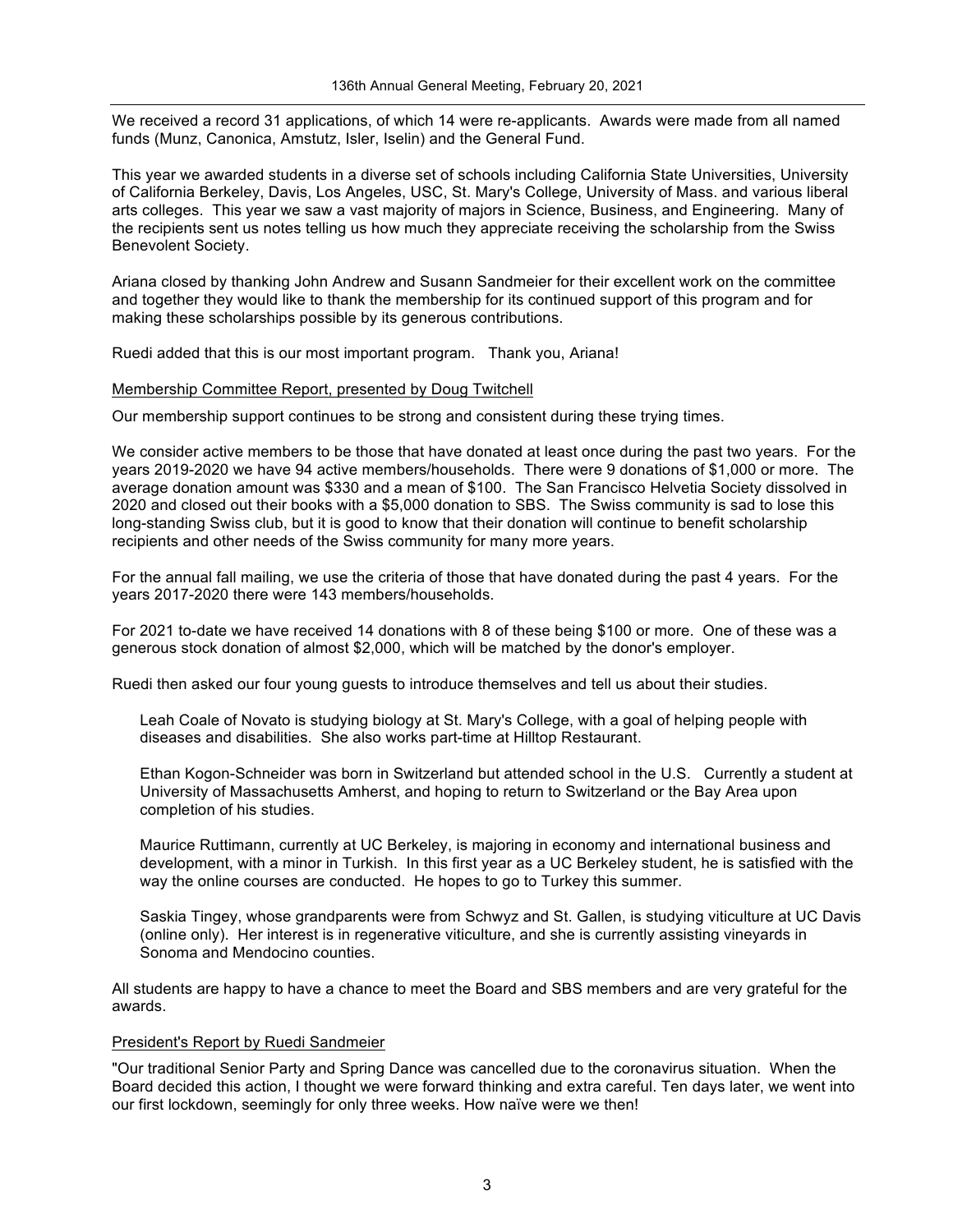We received a record 31 applications, of which 14 were re-applicants. Awards were made from all named funds (Munz, Canonica, Amstutz, Isler, Iselin) and the General Fund.

This year we awarded students in a diverse set of schools including California State Universities, University of California Berkeley, Davis, Los Angeles, USC, St. Mary's College, University of Mass. and various liberal arts colleges. This year we saw a vast majority of majors in Science, Business, and Engineering. Many of the recipients sent us notes telling us how much they appreciate receiving the scholarship from the Swiss Benevolent Society.

Ariana closed by thanking John Andrew and Susann Sandmeier for their excellent work on the committee and together they would like to thank the membership for its continued support of this program and for making these scholarships possible by its generous contributions.

Ruedi added that this is our most important program. Thank you, Ariana!

#### Membership Committee Report, presented by Doug Twitchell

Our membership support continues to be strong and consistent during these trying times.

We consider active members to be those that have donated at least once during the past two years. For the years 2019-2020 we have 94 active members/households. There were 9 donations of \$1,000 or more. The average donation amount was \$330 and a mean of \$100. The San Francisco Helvetia Society dissolved in 2020 and closed out their books with a \$5,000 donation to SBS. The Swiss community is sad to lose this long-standing Swiss club, but it is good to know that their donation will continue to benefit scholarship recipients and other needs of the Swiss community for many more years.

For the annual fall mailing, we use the criteria of those that have donated during the past 4 years. For the years 2017-2020 there were 143 members/households.

For 2021 to-date we have received 14 donations with 8 of these being \$100 or more. One of these was a generous stock donation of almost \$2,000, which will be matched by the donor's employer.

Ruedi then asked our four young guests to introduce themselves and tell us about their studies.

Leah Coale of Novato is studying biology at St. Mary's College, with a goal of helping people with diseases and disabilities. She also works part-time at Hilltop Restaurant.

Ethan Kogon-Schneider was born in Switzerland but attended school in the U.S. Currently a student at University of Massachusetts Amherst, and hoping to return to Switzerland or the Bay Area upon completion of his studies.

Maurice Ruttimann, currently at UC Berkeley, is majoring in economy and international business and development, with a minor in Turkish. In this first year as a UC Berkeley student, he is satisfied with the way the online courses are conducted. He hopes to go to Turkey this summer.

Saskia Tingey, whose grandparents were from Schwyz and St. Gallen, is studying viticulture at UC Davis (online only). Her interest is in regenerative viticulture, and she is currently assisting vineyards in Sonoma and Mendocino counties.

All students are happy to have a chance to meet the Board and SBS members and are very grateful for the awards.

#### President's Report by Ruedi Sandmeier

"Our traditional Senior Party and Spring Dance was cancelled due to the coronavirus situation. When the Board decided this action, I thought we were forward thinking and extra careful. Ten days later, we went into our first lockdown, seemingly for only three weeks. How naïve were we then!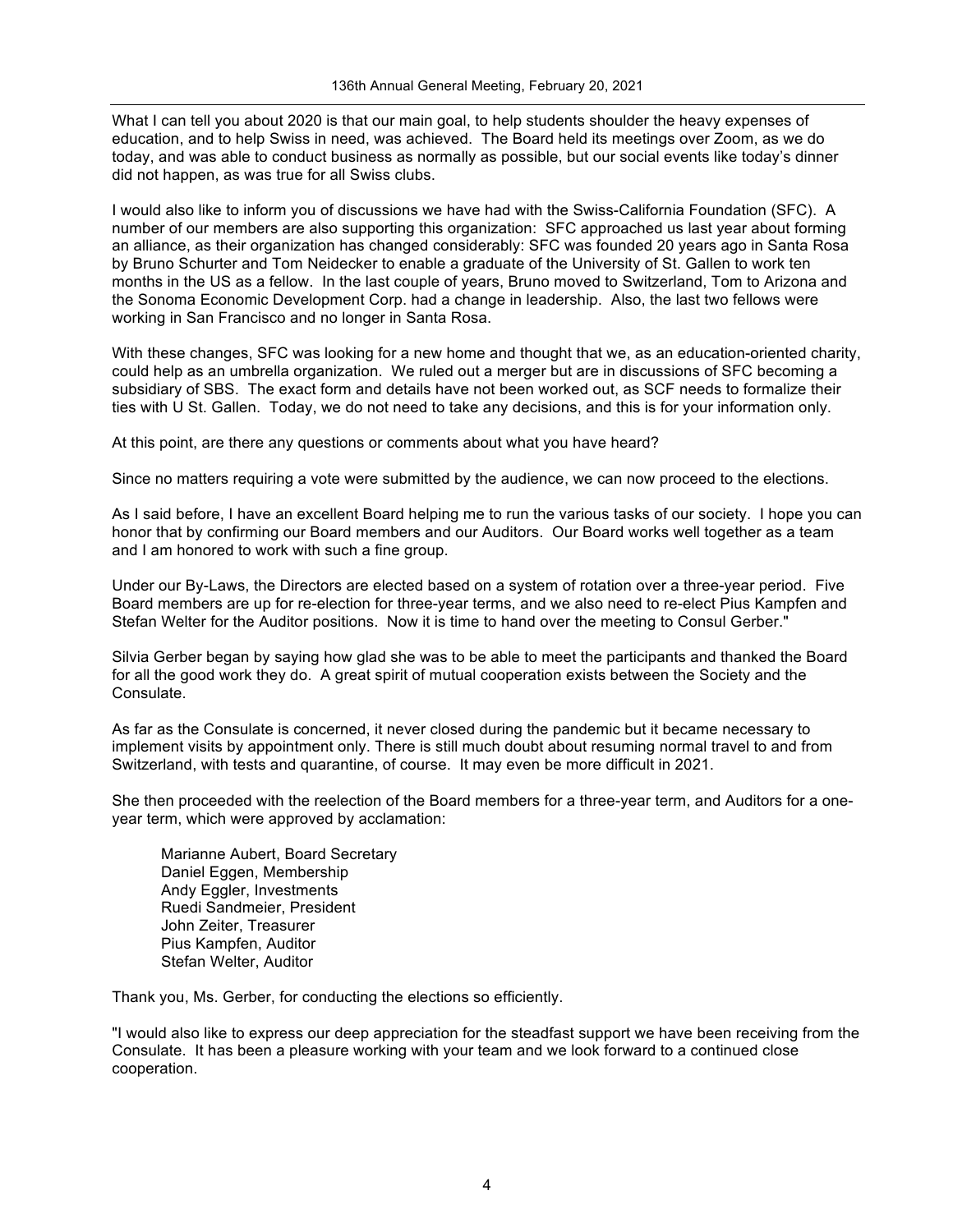What I can tell you about 2020 is that our main goal, to help students shoulder the heavy expenses of education, and to help Swiss in need, was achieved. The Board held its meetings over Zoom, as we do today, and was able to conduct business as normally as possible, but our social events like today's dinner did not happen, as was true for all Swiss clubs.

I would also like to inform you of discussions we have had with the Swiss-California Foundation (SFC). A number of our members are also supporting this organization: SFC approached us last year about forming an alliance, as their organization has changed considerably: SFC was founded 20 years ago in Santa Rosa by Bruno Schurter and Tom Neidecker to enable a graduate of the University of St. Gallen to work ten months in the US as a fellow. In the last couple of years, Bruno moved to Switzerland, Tom to Arizona and the Sonoma Economic Development Corp. had a change in leadership. Also, the last two fellows were working in San Francisco and no longer in Santa Rosa.

With these changes, SFC was looking for a new home and thought that we, as an education-oriented charity, could help as an umbrella organization. We ruled out a merger but are in discussions of SFC becoming a subsidiary of SBS. The exact form and details have not been worked out, as SCF needs to formalize their ties with U St. Gallen. Today, we do not need to take any decisions, and this is for your information only.

At this point, are there any questions or comments about what you have heard?

Since no matters requiring a vote were submitted by the audience, we can now proceed to the elections.

As I said before, I have an excellent Board helping me to run the various tasks of our society. I hope you can honor that by confirming our Board members and our Auditors. Our Board works well together as a team and I am honored to work with such a fine group.

Under our By-Laws, the Directors are elected based on a system of rotation over a three-year period. Five Board members are up for re-election for three-year terms, and we also need to re-elect Pius Kampfen and Stefan Welter for the Auditor positions. Now it is time to hand over the meeting to Consul Gerber."

Silvia Gerber began by saying how glad she was to be able to meet the participants and thanked the Board for all the good work they do. A great spirit of mutual cooperation exists between the Society and the Consulate.

As far as the Consulate is concerned, it never closed during the pandemic but it became necessary to implement visits by appointment only. There is still much doubt about resuming normal travel to and from Switzerland, with tests and quarantine, of course. It may even be more difficult in 2021.

She then proceeded with the reelection of the Board members for a three-year term, and Auditors for a oneyear term, which were approved by acclamation:

Marianne Aubert, Board Secretary Daniel Eggen, Membership Andy Eggler, Investments Ruedi Sandmeier, President John Zeiter, Treasurer Pius Kampfen, Auditor Stefan Welter, Auditor

Thank you, Ms. Gerber, for conducting the elections so efficiently.

"I would also like to express our deep appreciation for the steadfast support we have been receiving from the Consulate. It has been a pleasure working with your team and we look forward to a continued close cooperation.